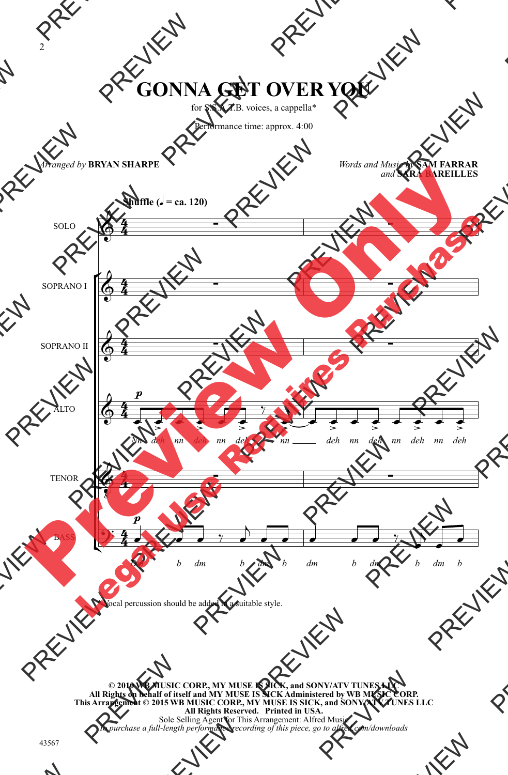## **GONNA GET OVER YOU**

for S.S.A.T.B. voices, a cappella\*

Performance time: approx. 4:00

*Arranged by* **BRYAN SHARPE**

*Words and Music by* **SAM FARRAR** *and* **SARA BAREILLES**



**© 2010 WB MUSIC CORP., MY MUSE IS SICK, and SONY/ATV TUNES LLC All Rights on behalf of itself and MY MUSE IS SICK Administered by WB MUSIC CORP. This Arrangement © 2015 WB MUSIC CORP., MY MUSE IS SICK, and SONY/ATV TUNES LLC All Rights Reserved. Printed in USA.** Sole Selling Agent for This Arrangement: Alfred Music *To purchase a full-length performance recording of this piece, go to alfred.com/downloads*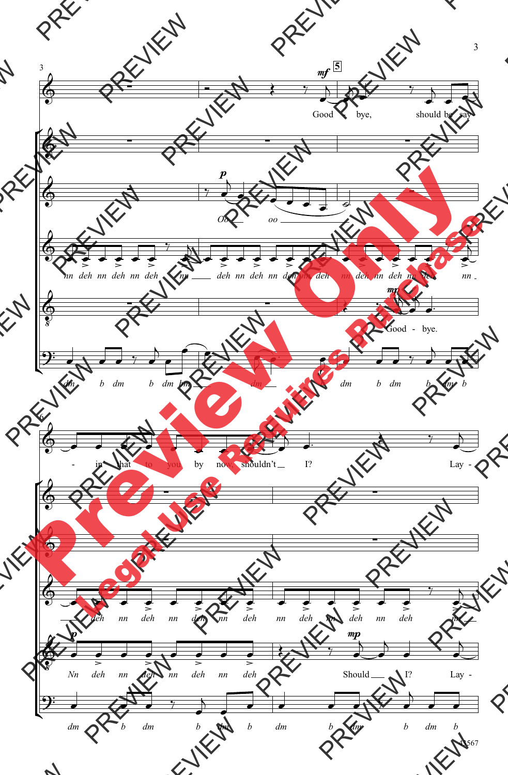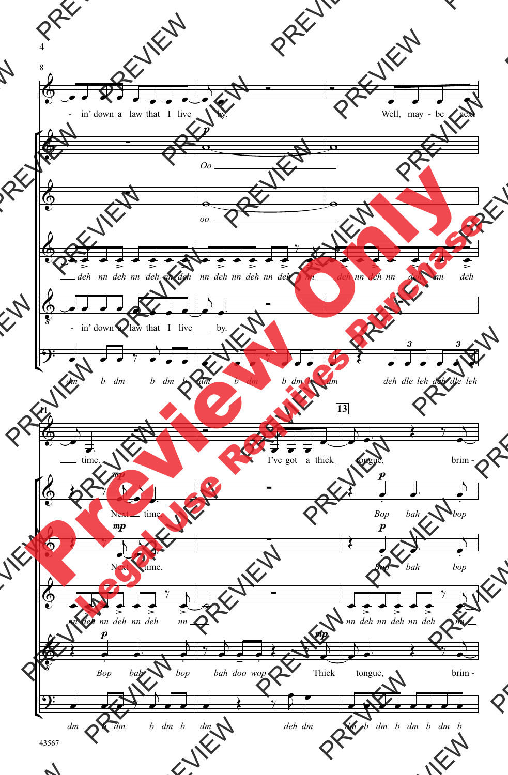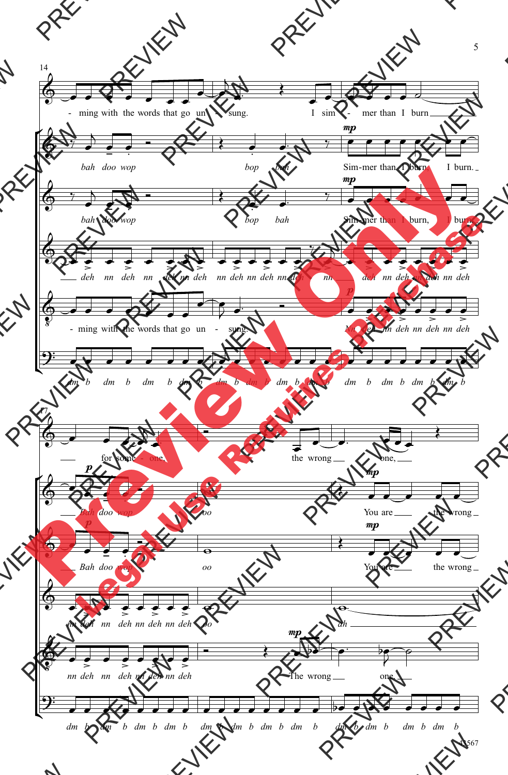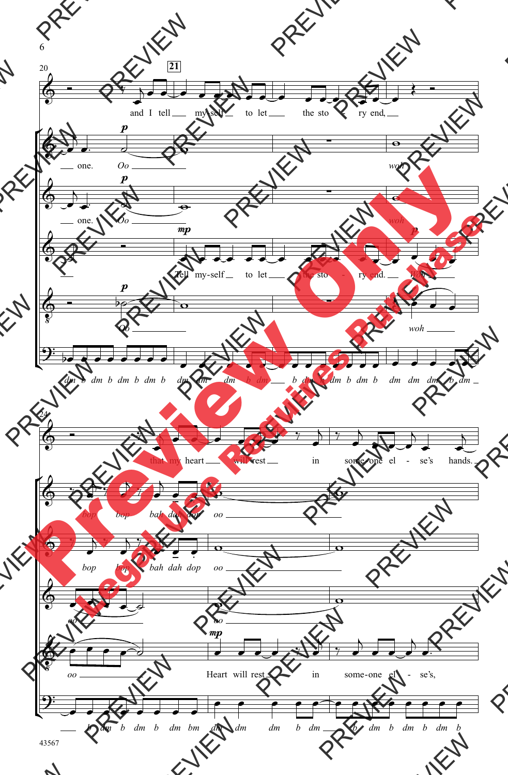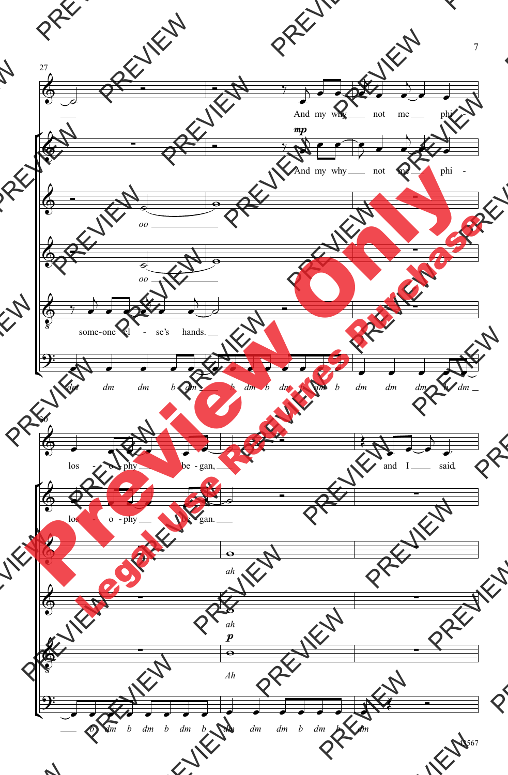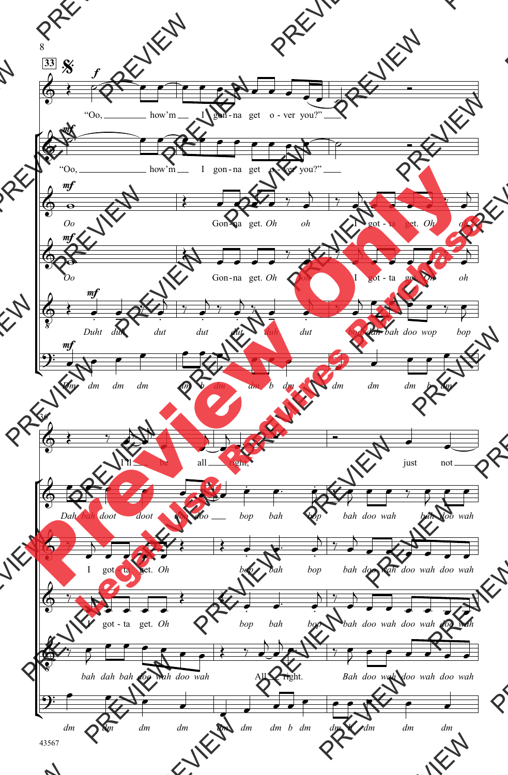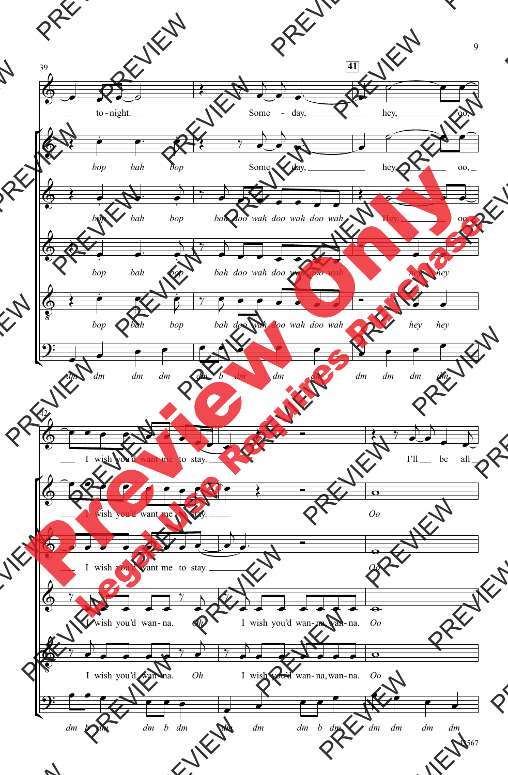

<sup>43567</sup>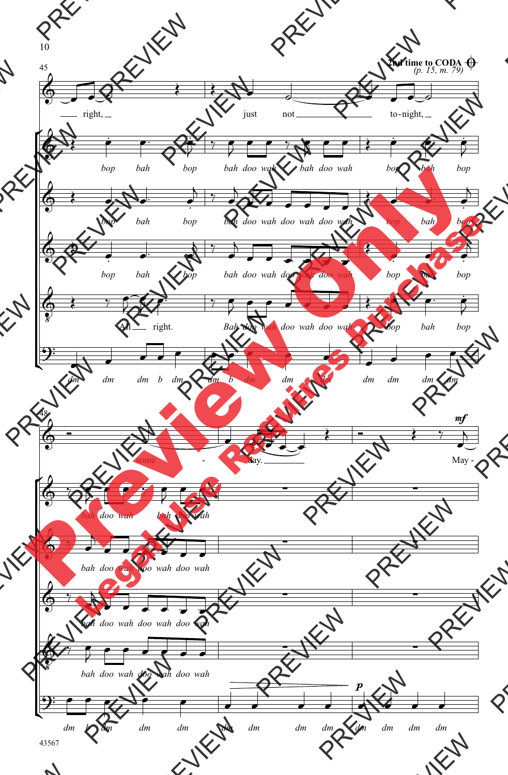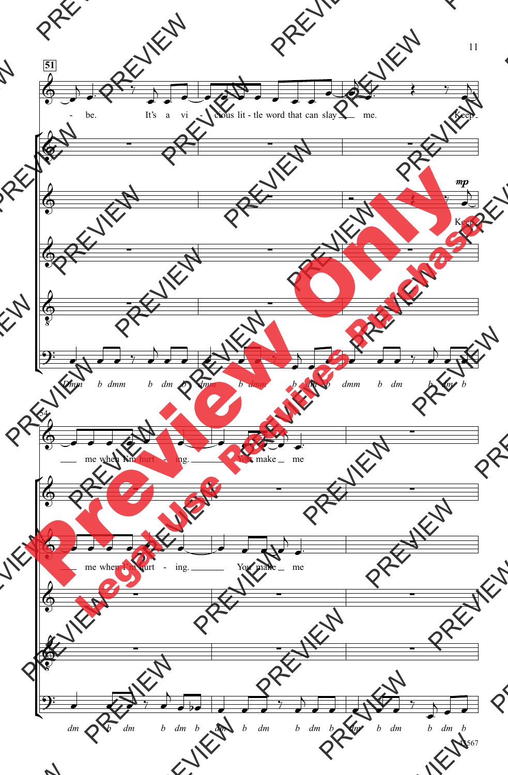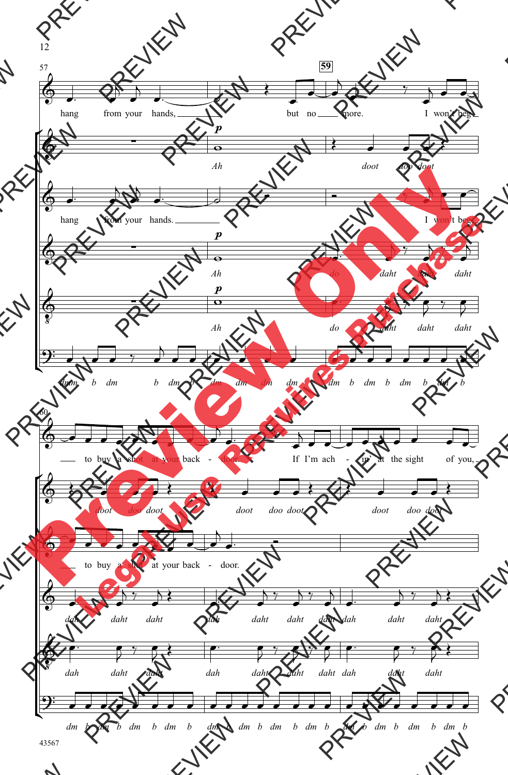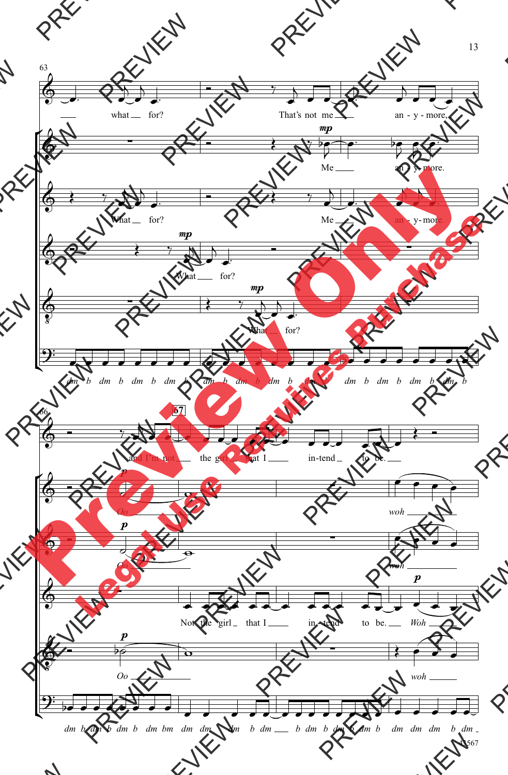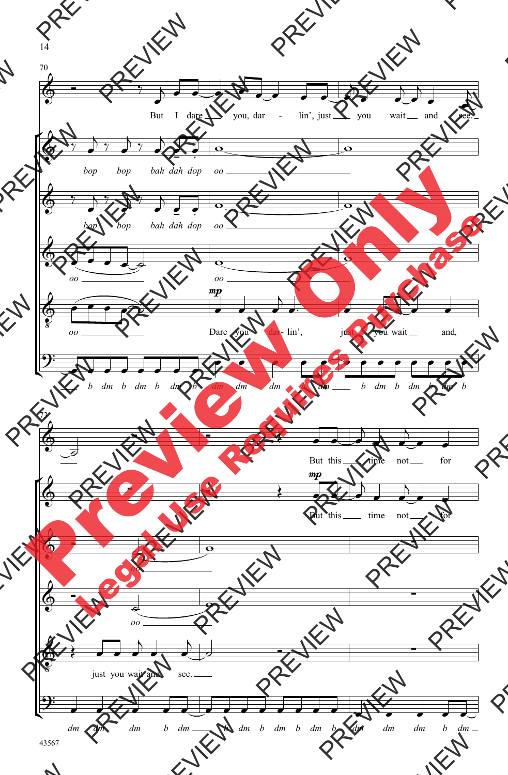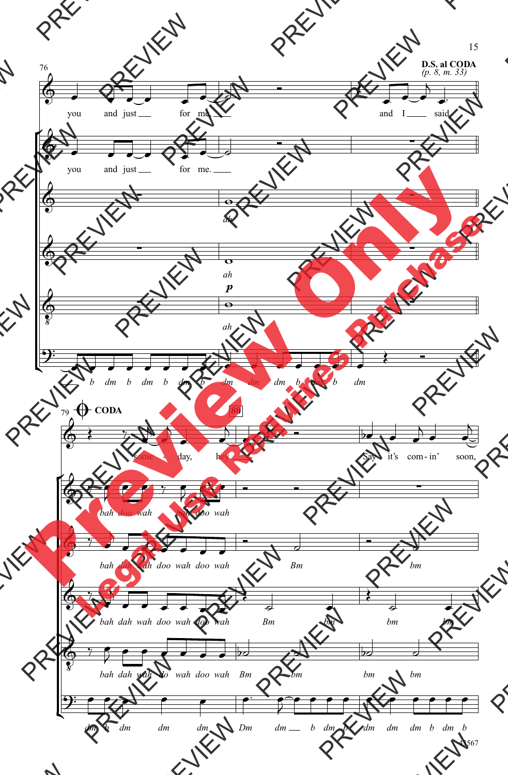

<sup>43567</sup>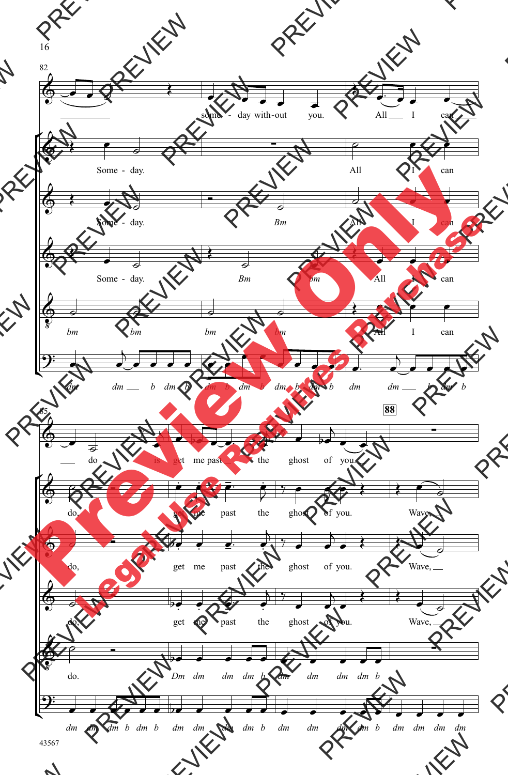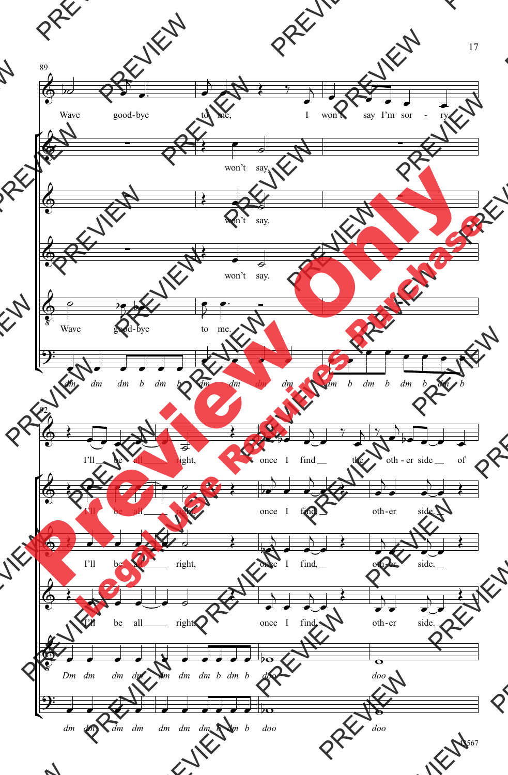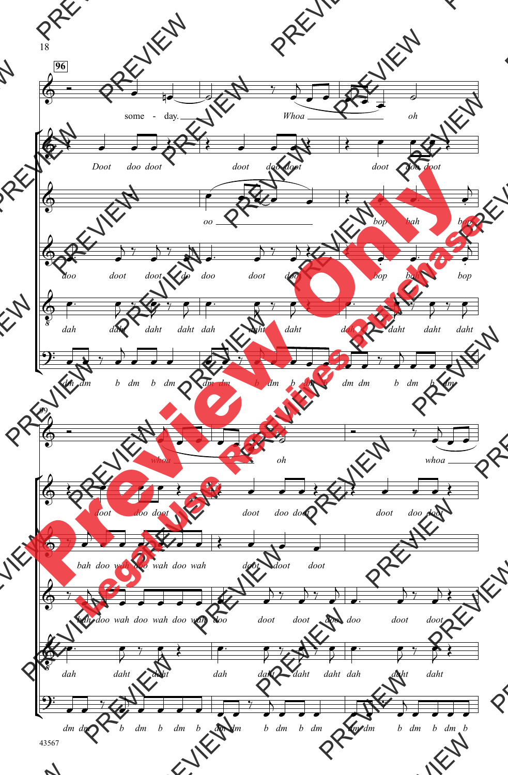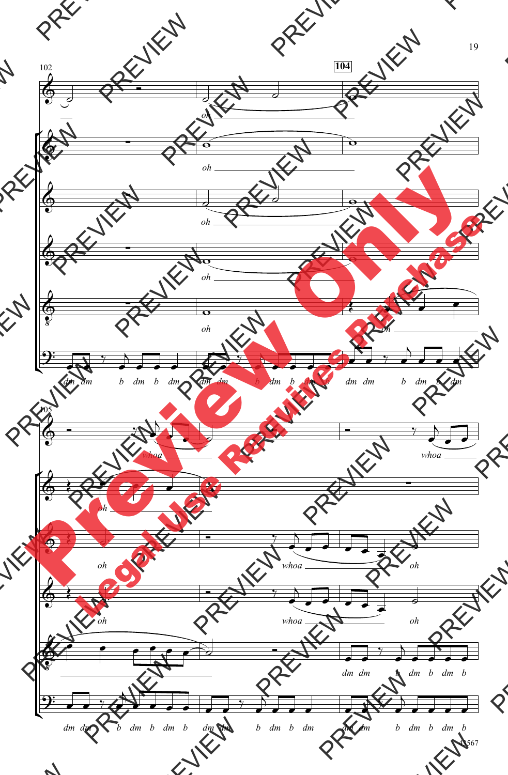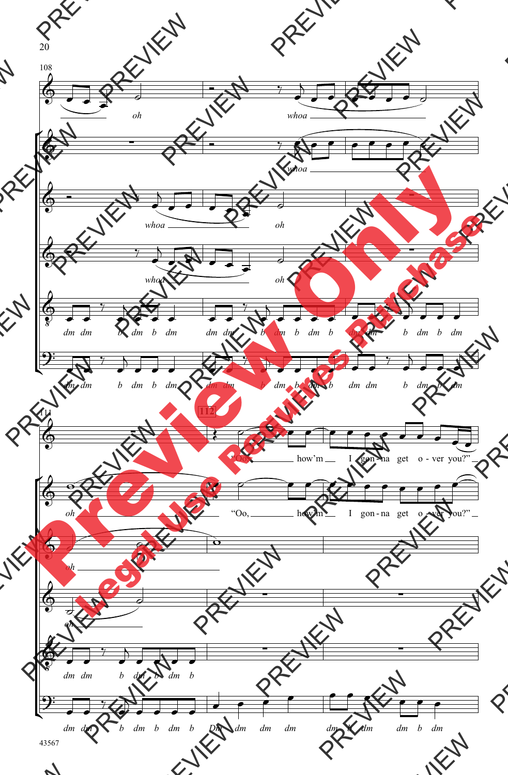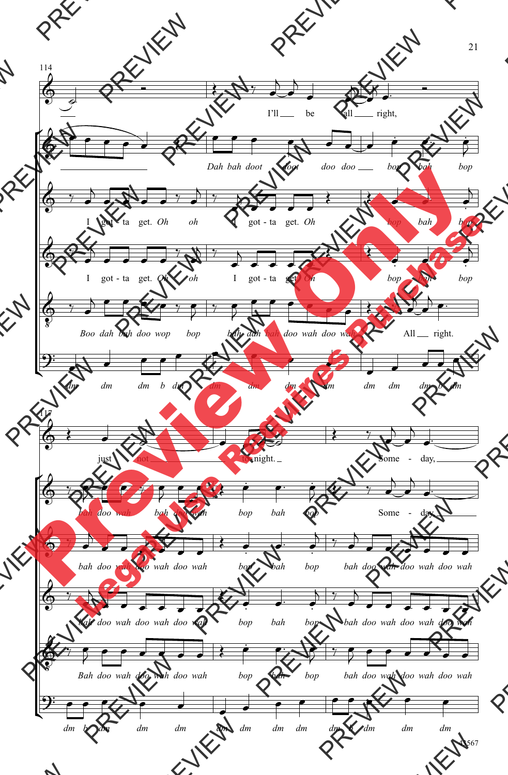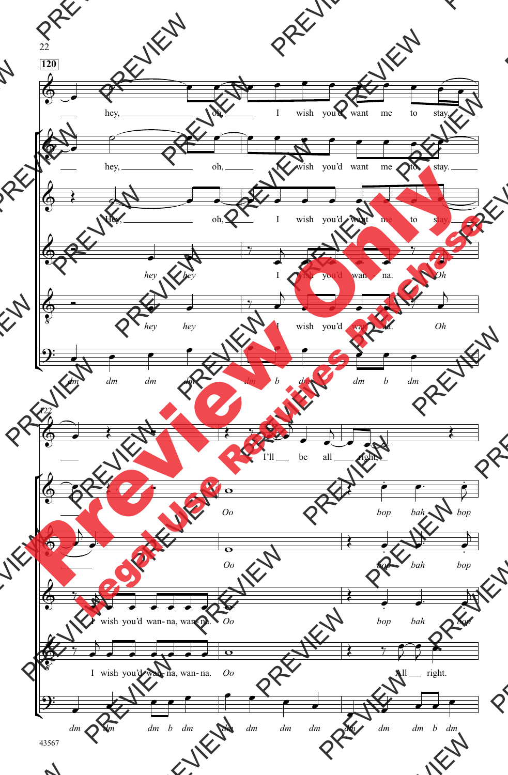